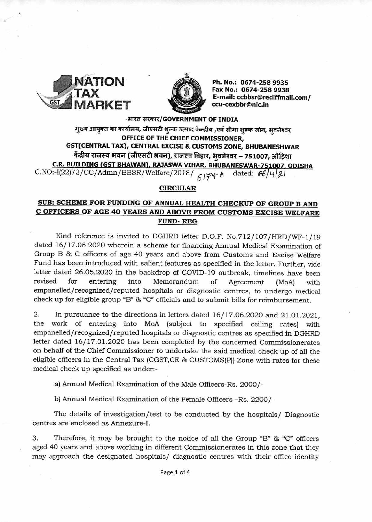



Ph. No.: 0674-258 9935 Fax No.: 0674-258 9938 E-mail: ccbbsr@rediffmail.com/ ccu-cexbbr@nic.in

## -आरत सरकार/GOVERNMENT OF INDIA

मुख्य आयुक्त का कार्यालय, जीएसटी शुल्क उत्पाद केन्द्रीय ,एवं सीमा शुल्क जोन, भुवनेश्वर OFFICE OF THE CHIEF COMMISSIONER. GST(CENTRAL TAX), CENTRAL EXCISE & CUSTOMS ZONE, BHUBANESHWAR केंद्रीय राजस्व भवन (जीएसटी भवन), राजस्व विहार, भवनेश्वर – 751007, ओड़िशा C.R. BUILDING (GST BHAWAN), RAJASWA VIHAR, BHUBANESWAR-751007, ODISHA C.NO:-I(22)72/CC/Admn/BBSR/Welfare/2018/  $617$ Y A dated:  $66/4/21$ 

## **CIRCULAR**

# SUB: SCHEME FOR FUNDING OF ANNUAL HEALTH CHECKUP OF GROUP B AND C OFFICERS OF AGE 40 YEARS AND ABOVE FROM CUSTOMS EXCISE WELFARE **FUND-REG**

Kind reference is invited to DGHRD letter D.O.F. No.712/107/HRD/WF-1/19 dated 16/17.06.2020 wherein a scheme for financing Annual Medical Examination of Group B & C officers of age 40 years and above from Customs and Excise Welfare Fund has been introduced with salient features as specified in the letter. Further, vide letter dated 26.05.2020 in the backdrop of COVID-19 outbreak, timelines have been revised for entering into Memorandum of Agreement  $(MoA)$ with empanelled/recognized/reputed hospitals or diagnostic centres, to undergo medical check up for eligible group "B" & "C" officials and to submit bills for reimbursement.

2. In pursuance to the directions in letters dated  $16/17.06.2020$  and  $21.01.2021$ . the work of entering into MoA (subject to specified ceiling rates) with empanelled/recognized/reputed hospitals or diagnostic centres as specified in DGHRD letter dated 16/17.01.2020 has been completed by the concerned Commissionerates on behalf of the Chief Commissioner to undertake the said medical check up of all the eligible officers in the Central Tax (CGST, CE & CUSTOMS(P)) Zone with rates for these medical check up specified as under:-

a) Annual Medical Examination of the Male Officers-Rs. 2000/-

b) Annual Medical Examination of the Female Officers -Rs. 2200/-

The details of investigation/test to be conducted by the hospitals/ Diagnostic centres are enclosed as Annexure-I.

3. Therefore, it may be brought to the notice of all the Group "B" & "C" officers aged 40 years and above working in different Commissionerates in this zone that they may approach the designated hospitals/ diagnostic centres with their office identity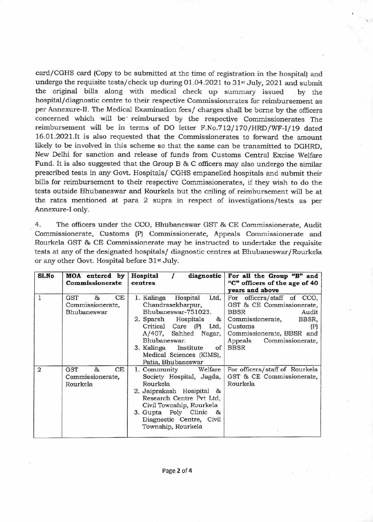card/CGHS card (Copy to be submitted at the time of registration in the hospital) and undergo the requisite tests/check up during 01.04.2021 to 31st July, 2021 and submit the original bills along with medical check up summary issued by the hospital/diagnostic centre to their respective Commissionerates for reimbursement as per Annexure-II. The Medical Examination fees/ charges shall be borne by the officers concerned which will be' reimbursed by the respective Commissionerates The reimbursement will be in terms of DO letter F.No.712/ 170/HRD/WF-I/19 dated 16.01.2021.It is also requested that the Commissionerates to forward the amount likely to be involved in this scheme so that the same can be transmitted to DGHRD, New Delhi for sanction and release of funds from Customs Central Excise Welfare Fund. It is also suggested that the Group B & C officers may also undergo the similar prescribed tests in any Govt. Hospitals/ CGHS empanelled hospitals and submit their bills for reimbursement to their respective Commissionerates, if they wish to do the tests outside Bhubaneswar and Rourkela but the ceiling of reimbursement will be at the rates mentioned at para 2 supra in respect of investigations/tests as per Annexure-I only.

4. The officers under the CCO, Bhubaneswar GST & CE Commissionerate, Audit Commissionerate, Customs (P) Commissionerate, Appeals Commissionerate and Rourkela GST & CE Commissionerate may be instructed to undertake the requisite tests at any of the designated hospitals/ diagnostic centres at Bhubaneswar/Rourkela or any other Govt. Hospital before 31st July.

| Sl.No          | MOA entered by<br>Commissionerate                 | Hospital<br>diagnostic<br>centres                                                                                                                                                                                                                                      | For all the Group "B" and<br>"C" officers of the age of 40<br>vears and above                                                                                                         |
|----------------|---------------------------------------------------|------------------------------------------------------------------------------------------------------------------------------------------------------------------------------------------------------------------------------------------------------------------------|---------------------------------------------------------------------------------------------------------------------------------------------------------------------------------------|
| 1              | GST<br>CE<br>&<br>Commissionerate,<br>Bhubaneswar | Hospital<br>Ltd,<br>1. Kalinga<br>Chandrasekharpur,<br>Bhubaneswar-751023.<br>2. Sparsh Hospitals & Commissionerate,<br>Critical Care (P) Ltd,<br>A/407, Sahhed Nagar,<br>Bhubaneswar.<br>of<br>3. Kalinga Institute<br>Medical Sciences (KIMS),<br>Patia, Bhubaneswar | For officers/staff of CCO,<br>GST & CE Commissionerate,<br><b>BBSR</b><br>Audit<br>BBSR,<br>Customs<br>(P)<br>Commissionerate, BBSR and<br>Commissionerate,<br>Appeals<br><b>BBSR</b> |
| $\overline{2}$ | CE<br>GST<br>85<br>Commissionerate,<br>Rourkela   | 1. Community Welfare<br>Society Hospital, Jagda,<br>Rourkela<br>2. Jaiprakash Hosipital &<br>Research Centre Pvt Ltd,<br>Civil Township, Rourkela<br>3. Gupta Poly Clinic &<br>Diagnostic Centre, Civil<br>Township, Rourkela                                          | For officers/staff of Rourkela<br>GST & CE Commissionerate,<br>Rourkela                                                                                                               |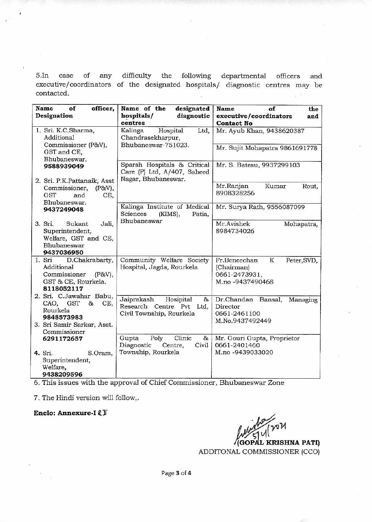5.In case of any difficulty the following departmental officers and executive/coordinators of the designated hospitals/ diagnostic centres may be contacted.

| Name<br>of<br>officer,<br>Designation                                                                   | Name of the<br>designated<br>hospitals/<br>diagnostic<br>centres                     | of<br>Name<br>the<br>executive/coordinators<br>and<br><b>Contact No</b>             |
|---------------------------------------------------------------------------------------------------------|--------------------------------------------------------------------------------------|-------------------------------------------------------------------------------------|
| 1. Sri. K.C.Sharma,<br><b>Additional</b>                                                                | Kalinga<br>Hospital<br>Ltd,<br>Chandrasekharpur,                                     | Mr. Ayub Khan, 9438620387                                                           |
| Commissioner (P&V),<br>GST and CE,<br>Bhubaneswar.                                                      | Bhubaneswar-751023.                                                                  | Mr. Sujit Mohapatra 9861691778                                                      |
| 9588939049                                                                                              | Sparsh Hospitals & Critical<br>Care (P) Ltd, A/407, Saheed<br>Nagar, Bhubaneswar.    | Mr. S. Batesu, 9937299103                                                           |
| 2. Sri. P.K.Pattanaik, Asst<br>Commissioner,<br>(P&V),<br><b>GST</b><br>CE,<br>and<br>Bhubaneswar.      |                                                                                      | Mr.Ranjan<br>Kumar<br>Rout,<br>8908328256                                           |
| 9437249048                                                                                              | Kalinga Institute of Medical<br>Sciences<br>(KIMS),<br>Patia,                        | Mr. Surya Rath, 9556087099                                                          |
| 3. Sri.<br>Sukant<br>Jali,<br>Superintendent,<br>Welfare, GST and CE,<br>Bhubaneswar<br>9437036950      | Bhubaneswar                                                                          | Mr.Avishek<br>Mohapatra,<br>8984734026                                              |
| D.Chakrabarty,<br>1. Sri<br>Additional<br>Commissioner<br>(P&V),<br>GST & CE, Rourkela.<br>8118052117   | Community Welfare Society<br>Hospital, Jagda, Rourkela                               | Fr.Beneechan<br>K<br>Peter, SVD,<br>(Chairman)<br>0661-2473931,<br>M.no -9437490468 |
| 2. Sri. C.Jawahar Babu,<br>CAO, GST<br>CE,<br>&<br>Rourkela<br>9848573983<br>3. Sri Samir Sarkar, Asst. | Jaiprakash<br>Hosipital<br>&<br>Research Centre Pvt Ltd,<br>Civil Township, Rourkela | Dr.Chandan Bansal,<br>Managing<br>Director<br>0661-2461100<br>M.No.9437492449       |
| Commissioner<br>6291172657                                                                              | Clinic<br>Gupta<br>Poly<br>&<br>Diagnostic<br>Civil<br>Centre,                       | Mr. Gouri Gupta, Proprietor<br>0661-2401460                                         |
| 4. Sri.<br>S.Oram,<br>Superintendent,<br>Welfare,<br>9438209596                                         | Township, Rourkela                                                                   | M.no -9439033020                                                                    |

6. This issues with the approval of Chief Commissioner, Bhubaneswar Zone

7. The Hindi version will follow,.

**Enclo: Annexure-I** 

oЙ

**(GOP AL KRISHNA PATI)**  ADDITONAL COMMISSIONER (CCO)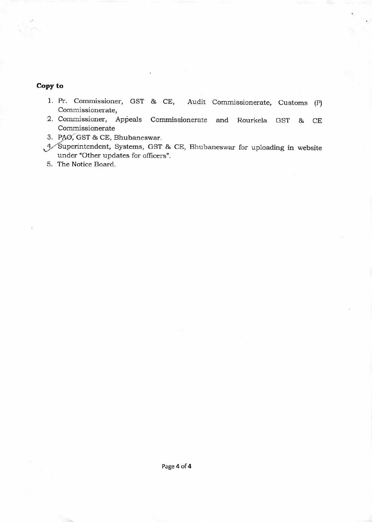# **Copy to**

- 1. Pr. Commissioner, GST & CE, Audit Commissionerate, Audit Commissionerate, Customs (P)
- 2. Commissioner, Appeals Commissionerate and Rourkela GST & CE Commissionerate
- 3. PAO, GST & CE, Bhubaneswar.
- 4 Superintendent, Systems, GST & CE, Bhubaneswar for uploading in website under "Other updates for officers".

5. The Notice Board.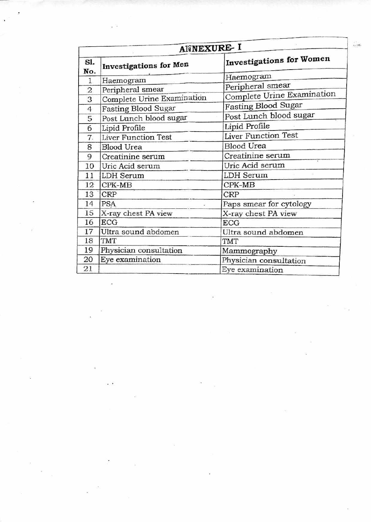| ANNEXURE- I                          |                            |                                 |  |  |
|--------------------------------------|----------------------------|---------------------------------|--|--|
| S1.<br>Investigations for Men<br>No. |                            | <b>Investigations for Women</b> |  |  |
| $\mathbf{1}$                         | Haemogram                  | Haemogram                       |  |  |
| $\overline{2}$                       | Peripheral smear           | Peripheral smear                |  |  |
| 3                                    | Complete Urine Examination | Complete Urine Examination      |  |  |
| $\overline{4}$                       | <b>Fasting Blood Sugar</b> | <b>Fasting Blood Sugar</b>      |  |  |
| 5                                    | Post Lunch blood sugar     | Post Lunch blood sugar          |  |  |
| 6                                    | Lipid Profile              | Lipid Profile                   |  |  |
| 7.                                   | <b>Liver Function Test</b> | <b>Liver Function Test</b>      |  |  |
| 8                                    | <b>Blood Urea</b>          | <b>Blood Urea</b>               |  |  |
| 9                                    | Creatinine serum           | Creatinine serum                |  |  |
| 10                                   | Uric Acid serum            | Uric Acid serum                 |  |  |
| 11                                   | LDH Serum                  | <b>LDH</b> Serum                |  |  |
| 12                                   | $CPK-MB$                   | $CPK-MB$                        |  |  |
| 13                                   | CRP                        | <b>CRP</b>                      |  |  |
| 14                                   | <b>PSA</b>                 | Paps smear for cytology         |  |  |
| 15                                   | X-ray chest PA view        | X-ray chest PA view             |  |  |
| 16                                   | <b>ECG</b>                 | <b>ECG</b>                      |  |  |
| 17                                   | Ultra sound abdomen        | Ultra sound abdomen             |  |  |
| 18                                   | <b>TMT</b>                 | <b>TMT</b>                      |  |  |
| 19                                   | Physician consultation     | Mammography                     |  |  |
| 20                                   | Eye examination            | Physician consultation          |  |  |
| 21                                   |                            | Eye examination                 |  |  |

 $\frac{1}{\sqrt{2}}$ 

 $\lesssim$ 

 $\alpha$  .  $\frac{\alpha}{\alpha}$ 

 $\mathbb{R}^2$